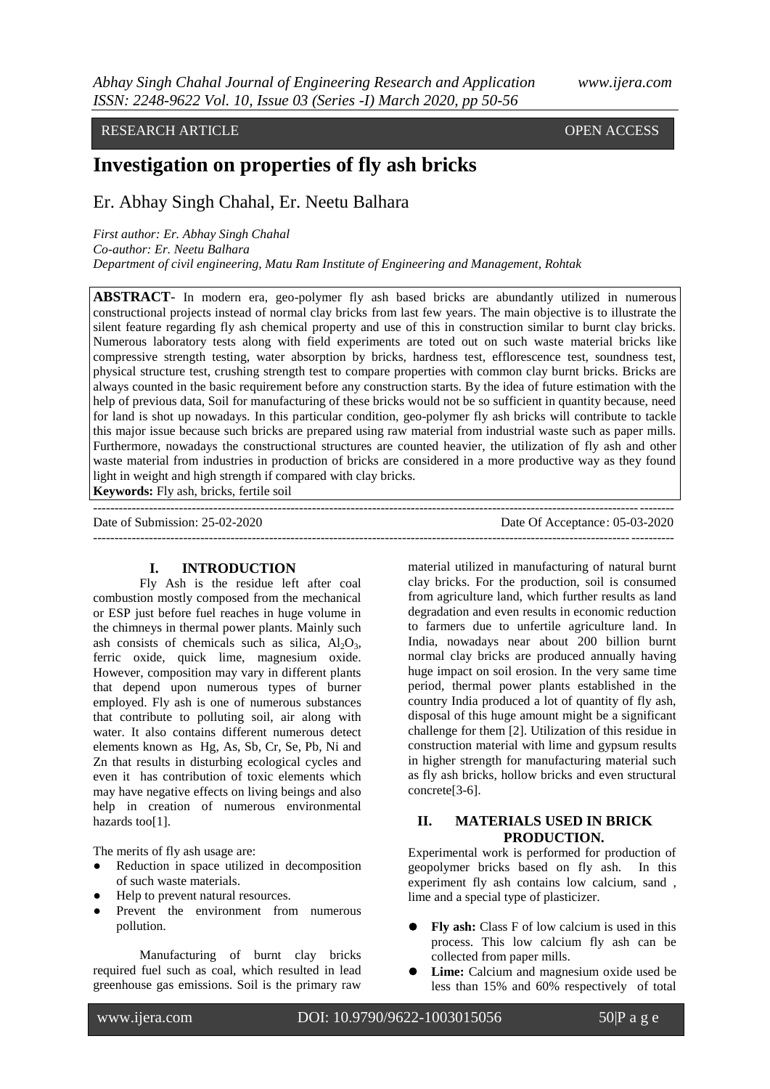# RESEARCH ARTICLE **CONSERVERS** OPEN ACCESS

# **Investigation on properties of fly ash bricks**

Er. Abhay Singh Chahal, Er. Neetu Balhara

*First author: Er. Abhay Singh Chahal Co-author: Er. Neetu Balhara Department of civil engineering, Matu Ram Institute of Engineering and Management, Rohtak*

 $-++++++++++$ 

**ABSTRACT**- In modern era, geo-polymer fly ash based bricks are abundantly utilized in numerous constructional projects instead of normal clay bricks from last few years. The main objective is to illustrate the silent feature regarding fly ash chemical property and use of this in construction similar to burnt clay bricks. Numerous laboratory tests along with field experiments are toted out on such waste material bricks like compressive strength testing, water absorption by bricks, hardness test, efflorescence test, soundness test, physical structure test, crushing strength test to compare properties with common clay burnt bricks. Bricks are always counted in the basic requirement before any construction starts. By the idea of future estimation with the help of previous data, Soil for manufacturing of these bricks would not be so sufficient in quantity because, need for land is shot up nowadays. In this particular condition, geo-polymer fly ash bricks will contribute to tackle this major issue because such bricks are prepared using raw material from industrial waste such as paper mills. Furthermore, nowadays the constructional structures are counted heavier, the utilization of fly ash and other waste material from industries in production of bricks are considered in a more productive way as they found light in weight and high strength if compared with clay bricks.

**Keywords:** Fly ash, bricks, fertile soil

Date of Submission: 25-02-2020 Date Of Acceptance: 05-03-2020 ---------------------------------------------------------------------------------------------------------------------------------------

#### **I. INTRODUCTION**

Fly Ash is the residue left after coal combustion mostly composed from the mechanical or ESP just before fuel reaches in huge volume in the chimneys in thermal power plants. Mainly such ash consists of chemicals such as silica,  $Al_2O_3$ , ferric oxide, quick lime, magnesium oxide. However, composition may vary in different plants that depend upon numerous types of burner employed. Fly ash is one of numerous substances that contribute to polluting soil, air along with water. It also contains different numerous detect elements known as Hg, As, Sb, Cr, Se, Pb, Ni and Zn that results in disturbing ecological cycles and even it has contribution of toxic elements which may have negative effects on living beings and also help in creation of numerous environmental hazards too[1].

The merits of fly ash usage are:

- Reduction in space utilized in decomposition of such waste materials.
- Help to prevent natural resources.
- Prevent the environment from numerous pollution.

Manufacturing of burnt clay bricks required fuel such as coal, which resulted in lead greenhouse gas emissions. Soil is the primary raw

material utilized in manufacturing of natural burnt clay bricks. For the production, soil is consumed from agriculture land, which further results as land degradation and even results in economic reduction to farmers due to unfertile agriculture land. In India, nowadays near about 200 billion burnt normal clay bricks are produced annually having huge impact on soil erosion. In the very same time period, thermal power plants established in the country India produced a lot of quantity of fly ash, disposal of this huge amount might be a significant challenge for them [2]. Utilization of this residue in construction material with lime and gypsum results in higher strength for manufacturing material such as fly ash bricks, hollow bricks and even structural concrete[3-6].

# **II. MATERIALS USED IN BRICK PRODUCTION.**

Experimental work is performed for production of geopolymer bricks based on fly ash. In this experiment fly ash contains low calcium, sand , lime and a special type of plasticizer.

- Fly ash: Class F of low calcium is used in this process. This low calcium fly ash can be collected from paper mills.
- Lime: Calcium and magnesium oxide used be less than 15% and 60% respectively of total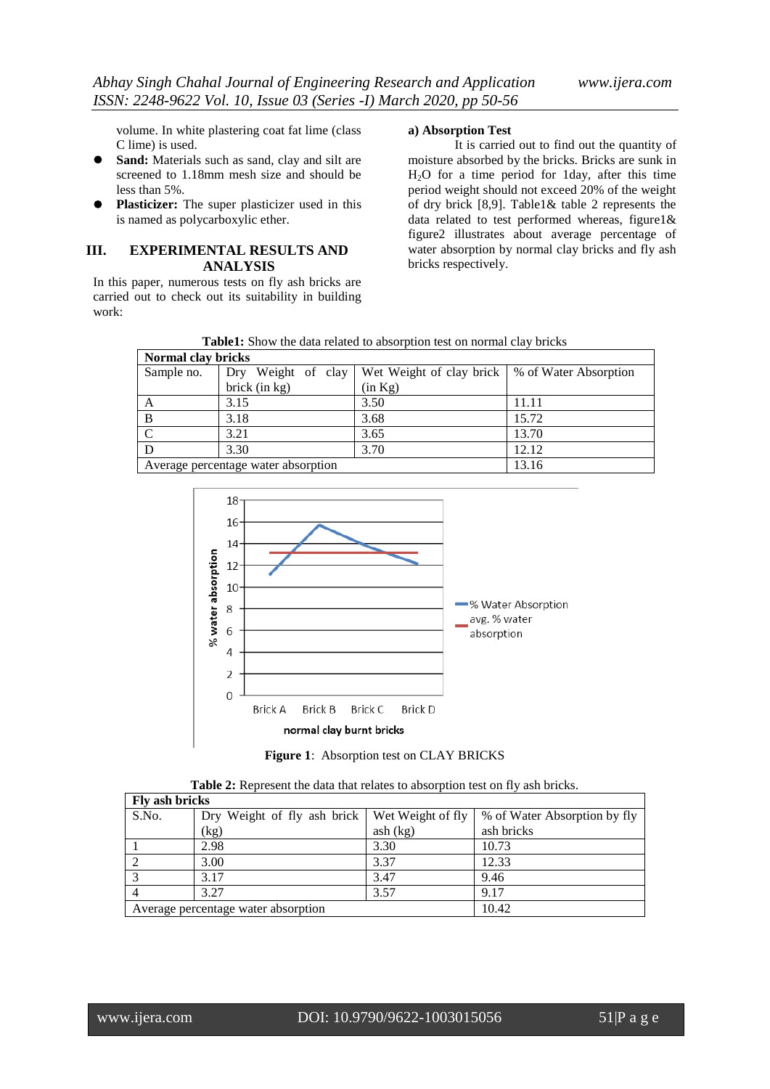volume. In white plastering coat fat lime (class C lime) is used.

- **Sand:** Materials such as sand, clay and silt are screened to 1.18mm mesh size and should be less than 5%.
- **Plasticizer:** The super plasticizer used in this is named as polycarboxylic ether.

### **III. EXPERIMENTAL RESULTS AND ANALYSIS**

In this paper, numerous tests on fly ash bricks are carried out to check out its suitability in building work:

#### **a) Absorption Test**

It is carried out to find out the quantity of moisture absorbed by the bricks. Bricks are sunk in H2O for a time period for 1day, after this time period weight should not exceed 20% of the weight of dry brick [8,9]. Table1& table 2 represents the data related to test performed whereas, figure1& figure2 illustrates about average percentage of water absorption by normal clay bricks and fly ash bricks respectively.

**Table1:** Show the data related to absorption test on normal clay bricks

| Normal clay bricks                  |                    |                                                  |       |  |  |
|-------------------------------------|--------------------|--------------------------------------------------|-------|--|--|
| Sample no.                          | Dry Weight of clay | Wet Weight of clay brick   % of Water Absorption |       |  |  |
|                                     | brick $(in kg)$    | (in Kg)                                          |       |  |  |
|                                     | 3.15               | 3.50                                             | 11.11 |  |  |
| B                                   | 3.18               | 3.68                                             | 15.72 |  |  |
|                                     | 3.21               | 3.65                                             | 13.70 |  |  |
|                                     | 3.30               | 3.70                                             | 12.12 |  |  |
| Average percentage water absorption |                    |                                                  | 13.16 |  |  |



**Figure 1**: Absorption test on CLAY BRICKS

|  |  |  |  | <b>Table 2:</b> Represent the data that relates to absorption test on fly ash bricks. |
|--|--|--|--|---------------------------------------------------------------------------------------|
|--|--|--|--|---------------------------------------------------------------------------------------|

| Fly ash bricks                      |                             |                   |                              |  |  |
|-------------------------------------|-----------------------------|-------------------|------------------------------|--|--|
| S.No.                               | Dry Weight of fly ash brick | Wet Weight of fly | % of Water Absorption by fly |  |  |
|                                     | (kg)                        | ash (kg)          | ash bricks                   |  |  |
|                                     | 2.98                        | 3.30              | 10.73                        |  |  |
|                                     | 3.00                        | 3.37              | 12.33                        |  |  |
|                                     | 3.17                        | 3.47              | 9.46                         |  |  |
|                                     | 3.27                        | 3.57              | 9.17                         |  |  |
| Average percentage water absorption |                             |                   | 10.42                        |  |  |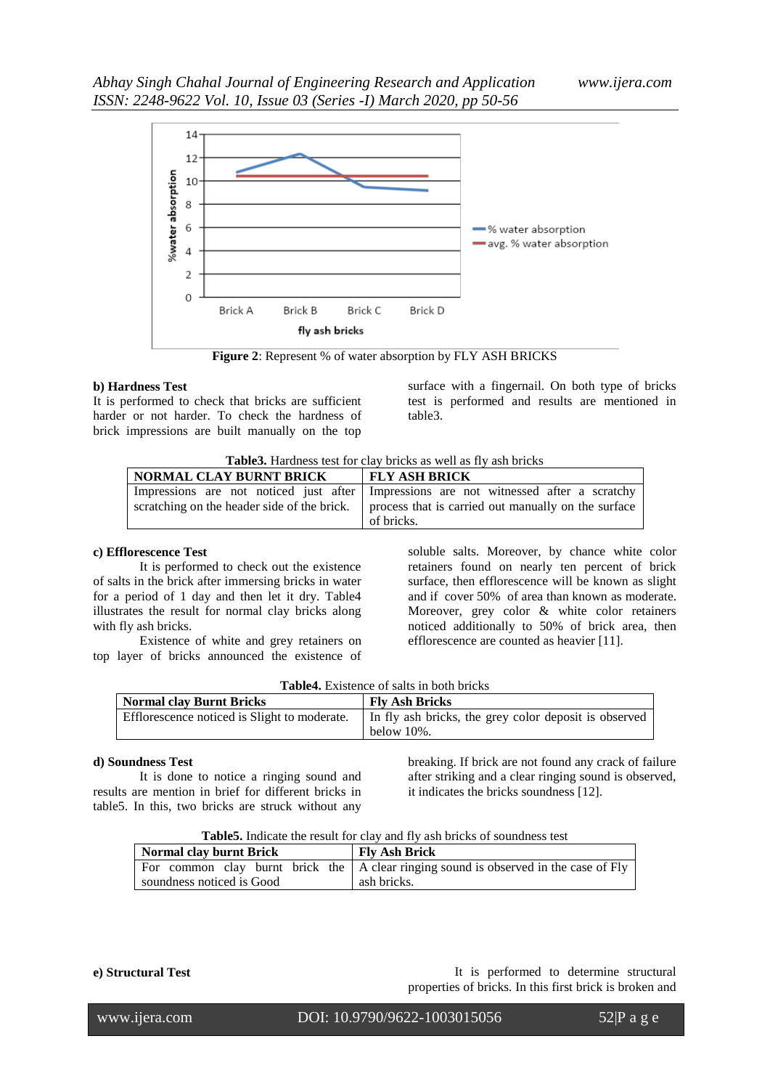

**Figure 2**: Represent % of water absorption by FLY ASH BRICKS

#### **b) Hardness Test**

It is performed to check that bricks are sufficient harder or not harder. To check the hardness of brick impressions are built manually on the top

surface with a fingernail. On both type of bricks test is performed and results are mentioned in table3.

| Table3. Hardness test for clay bricks as well as fly ash bricks |
|-----------------------------------------------------------------|
|-----------------------------------------------------------------|

| NORMAL CLAY BURNT BRICK | <b>FLY ASH BRICK</b>                                                                              |
|-------------------------|---------------------------------------------------------------------------------------------------|
|                         | Impressions are not noticed just after Impressions are not witnessed after a scratchy             |
|                         | scratching on the header side of the brick.   process that is carried out manually on the surface |
|                         | of bricks.                                                                                        |

# **c) Efflorescence Test**

It is performed to check out the existence of salts in the brick after immersing bricks in water for a period of 1 day and then let it dry. Table4 illustrates the result for normal clay bricks along with fly ash bricks.

Existence of white and grey retainers on top layer of bricks announced the existence of soluble salts. Moreover, by chance white color retainers found on nearly ten percent of brick surface, then efflorescence will be known as slight and if cover 50% of area than known as moderate. Moreover, grey color & white color retainers noticed additionally to 50% of brick area, then efflorescence are counted as heavier [11].

| <b>Table4.</b> Existence of salts in both bricks |  |  |  |  |  |
|--------------------------------------------------|--|--|--|--|--|
|--------------------------------------------------|--|--|--|--|--|

| <b>Normal clay Burnt Bricks</b>              | <b>Fly Ash Bricks</b>                                               |  |  |
|----------------------------------------------|---------------------------------------------------------------------|--|--|
| Efflorescence noticed is Slight to moderate. | In fly ash bricks, the grey color deposit is observed<br>below 10%. |  |  |

### **d) Soundness Test**

It is done to notice a ringing sound and results are mention in brief for different bricks in table5. In this, two bricks are struck without any breaking. If brick are not found any crack of failure after striking and a clear ringing sound is observed, it indicates the bricks soundness [12].

| <b>Normal clay burnt Brick</b> | <b>Fly Ash Brick</b>                                                                         |
|--------------------------------|----------------------------------------------------------------------------------------------|
|                                | For common clay burnt brick the $\vert$ A clear ringing sound is observed in the case of Fly |
| soundness noticed is Good      | ash bricks.                                                                                  |

**e) Structural Test example 3 and Test** It is performed to determine structural properties of bricks. In this first brick is broken and

www.ijera.com DOI: 10.9790/9622-1003015056 52|P a g e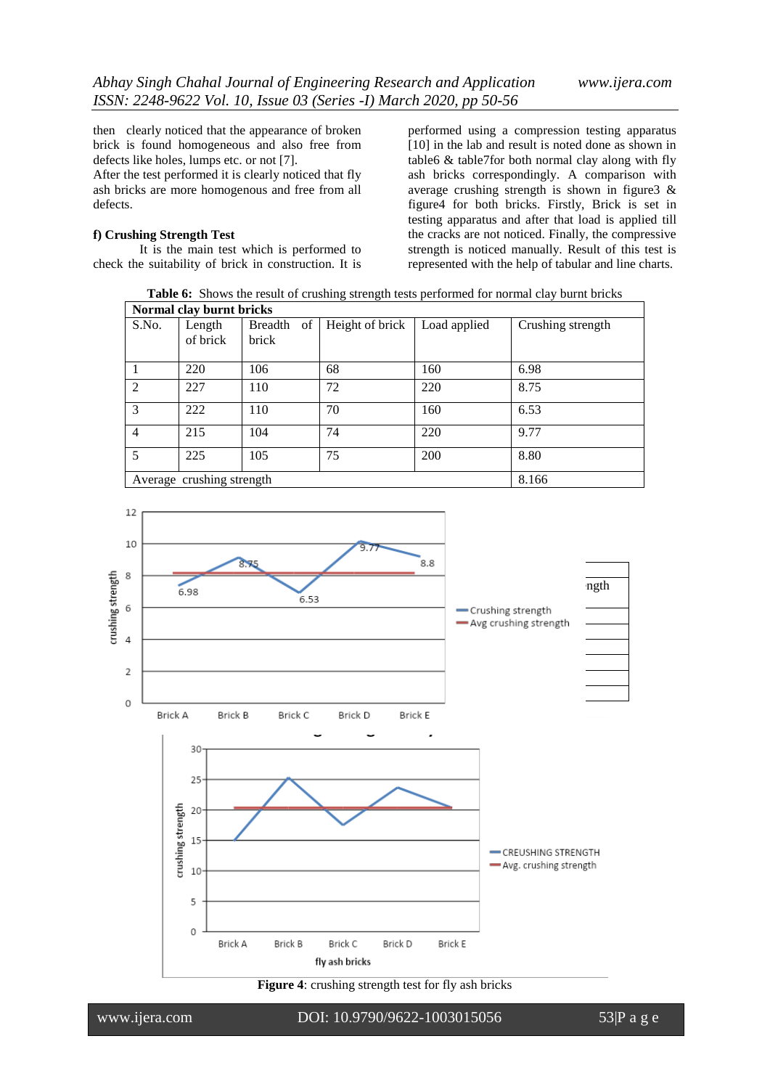then clearly noticed that the appearance of broken brick is found homogeneous and also free from defects like holes, lumps etc. or not [7].

After the test performed it is clearly noticed that fly ash bricks are more homogenous and free from all defects.

#### **f) Crushing Strength Test**

It is the main test which is performed to check the suitability of brick in construction. It is performed using a compression testing apparatus [10] in the lab and result is noted done as shown in table6 & table7for both normal clay along with fly ash bricks correspondingly. A comparison with average crushing strength is shown in figure3 & figure4 for both bricks. Firstly, Brick is set in testing apparatus and after that load is applied till the cracks are not noticed. Finally, the compressive strength is noticed manually. Result of this test is represented with the help of tabular and line charts.

**Table 6:** Shows the result of crushing strength tests performed for normal clay burnt bricks

| Normal clay burnt bricks  |          |                      |                 |              |                   |
|---------------------------|----------|----------------------|-----------------|--------------|-------------------|
| S.No.                     | Length   | of<br><b>Breadth</b> | Height of brick | Load applied | Crushing strength |
|                           | of brick | brick                |                 |              |                   |
|                           | 220      | 106                  | 68              | 160          | 6.98              |
| $\mathfrak{D}$            | 227      | 110                  | 72              | 220          | 8.75              |
| $\mathcal{E}$             | 222      | 110                  | 70              | 160          | 6.53              |
| $\overline{4}$            | 215      | 104                  | 74              | 220          | 9.77              |
| $\overline{\mathbf{z}}$   | 225      | 105                  | 75              | 200          | 8.80              |
| Average crushing strength |          |                      |                 |              | 8.166             |



**Figure 4**: crushing strength test for fly ash bricks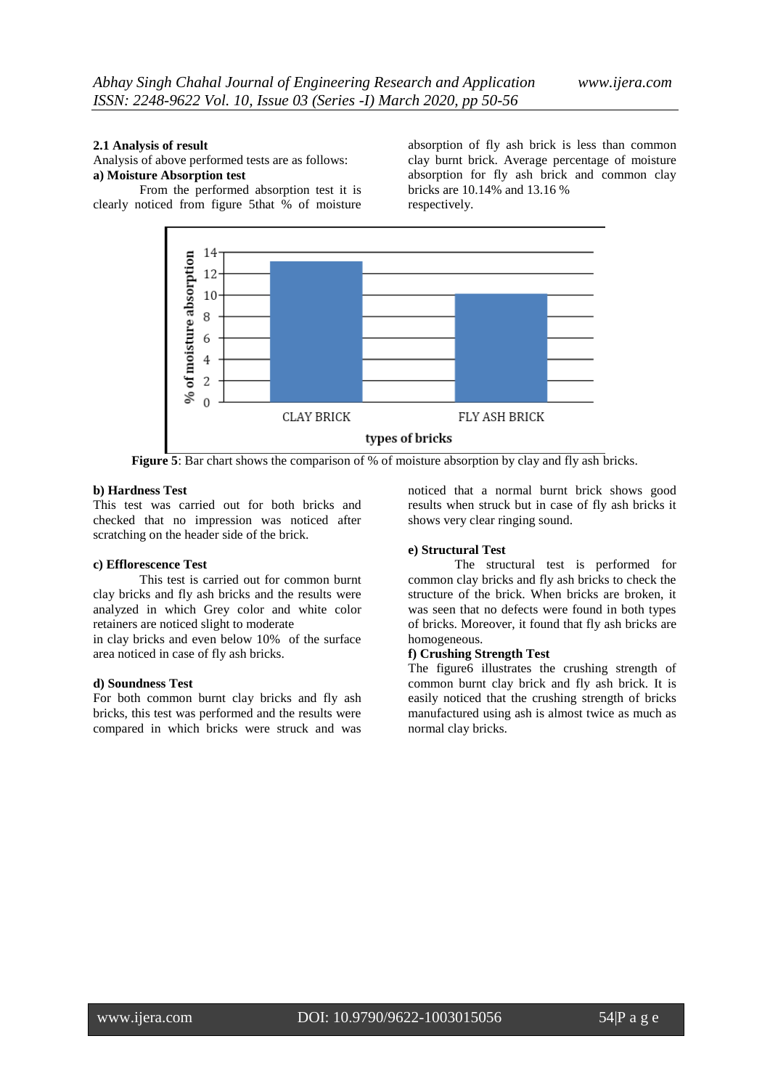#### **2.1 Analysis of result**

Analysis of above performed tests are as follows: **a) Moisture Absorption test** 

From the performed absorption test it is clearly noticed from figure 5that % of moisture

absorption of fly ash brick is less than common clay burnt brick. Average percentage of moisture absorption for fly ash brick and common clay bricks are 10.14% and 13.16 % respectively.



**Figure 5**: Bar chart shows the comparison of % of moisture absorption by clay and fly ash bricks.

### **b) Hardness Test**

This test was carried out for both bricks and checked that no impression was noticed after scratching on the header side of the brick.

#### **c) Efflorescence Test**

This test is carried out for common burnt clay bricks and fly ash bricks and the results were analyzed in which Grey color and white color retainers are noticed slight to moderate

in clay bricks and even below 10% of the surface area noticed in case of fly ash bricks.

#### **d) Soundness Test**

For both common burnt clay bricks and fly ash bricks, this test was performed and the results were compared in which bricks were struck and was

noticed that a normal burnt brick shows good results when struck but in case of fly ash bricks it shows very clear ringing sound.

#### **e) Structural Test**

The structural test is performed for common clay bricks and fly ash bricks to check the structure of the brick. When bricks are broken, it was seen that no defects were found in both types of bricks. Moreover, it found that fly ash bricks are homogeneous.

# **f) Crushing Strength Test**

The figure6 illustrates the crushing strength of common burnt clay brick and fly ash brick. It is easily noticed that the crushing strength of bricks manufactured using ash is almost twice as much as normal clay bricks.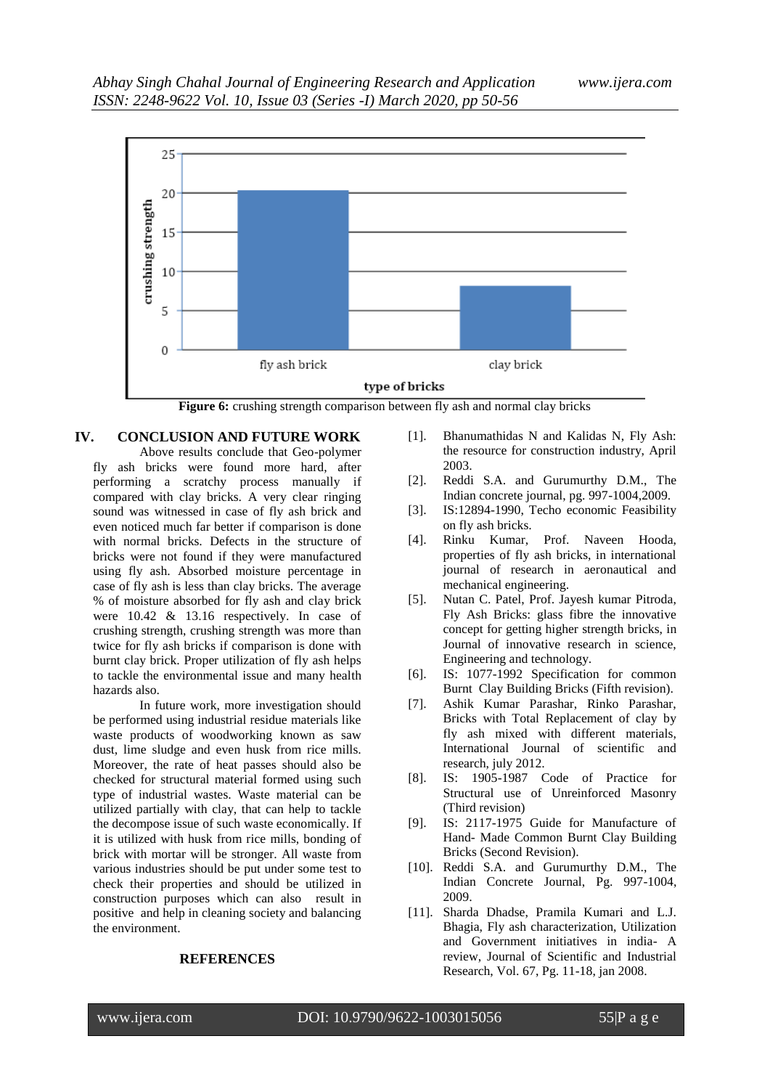

# **IV. CONCLUSION AND FUTURE WORK**

Above results conclude that Geo-polymer fly ash bricks were found more hard, after performing a scratchy process manually if compared with clay bricks. A very clear ringing sound was witnessed in case of fly ash brick and even noticed much far better if comparison is done with normal bricks. Defects in the structure of bricks were not found if they were manufactured using fly ash. Absorbed moisture percentage in case of fly ash is less than clay bricks. The average % of moisture absorbed for fly ash and clay brick were 10.42 & 13.16 respectively. In case of crushing strength, crushing strength was more than twice for fly ash bricks if comparison is done with burnt clay brick. Proper utilization of fly ash helps to tackle the environmental issue and many health hazards also.

In future work, more investigation should be performed using industrial residue materials like waste products of woodworking known as saw dust, lime sludge and even husk from rice mills. Moreover, the rate of heat passes should also be checked for structural material formed using such type of industrial wastes. Waste material can be utilized partially with clay, that can help to tackle the decompose issue of such waste economically. If it is utilized with husk from rice mills, bonding of brick with mortar will be stronger. All waste from various industries should be put under some test to check their properties and should be utilized in construction purposes which can also result in positive and help in cleaning society and balancing the environment.

### **REFERENCES**

- [1]. Bhanumathidas N and Kalidas N, Fly Ash: the resource for construction industry, April 2003.
- [2]. Reddi S.A. and Gurumurthy D.M., The Indian concrete journal, pg. 997-1004,2009.
- [3]. IS:12894-1990, Techo economic Feasibility on fly ash bricks.
- [4]. Rinku Kumar, Prof. Naveen Hooda, properties of fly ash bricks, in international journal of research in aeronautical and mechanical engineering.
- [5]. Nutan C. Patel, Prof. Jayesh kumar Pitroda, Fly Ash Bricks: glass fibre the innovative concept for getting higher strength bricks, in Journal of innovative research in science, Engineering and technology.
- [6]. IS: 1077-1992 Specification for common Burnt Clay Building Bricks (Fifth revision).
- [7]. Ashik Kumar Parashar, Rinko Parashar, Bricks with Total Replacement of clay by fly ash mixed with different materials, International Journal of scientific and research, july 2012.
- [8]. IS: 1905-1987 Code of Practice for Structural use of Unreinforced Masonry (Third revision)
- [9]. IS: 2117-1975 Guide for Manufacture of Hand- Made Common Burnt Clay Building Bricks (Second Revision).
- [10]. Reddi S.A. and Gurumurthy D.M., The Indian Concrete Journal, Pg. 997-1004, 2009.
- [11]. Sharda Dhadse, Pramila Kumari and L.J. Bhagia, Fly ash characterization, Utilization and Government initiatives in india- A review, Journal of Scientific and Industrial Research, Vol. 67, Pg. 11-18, jan 2008.